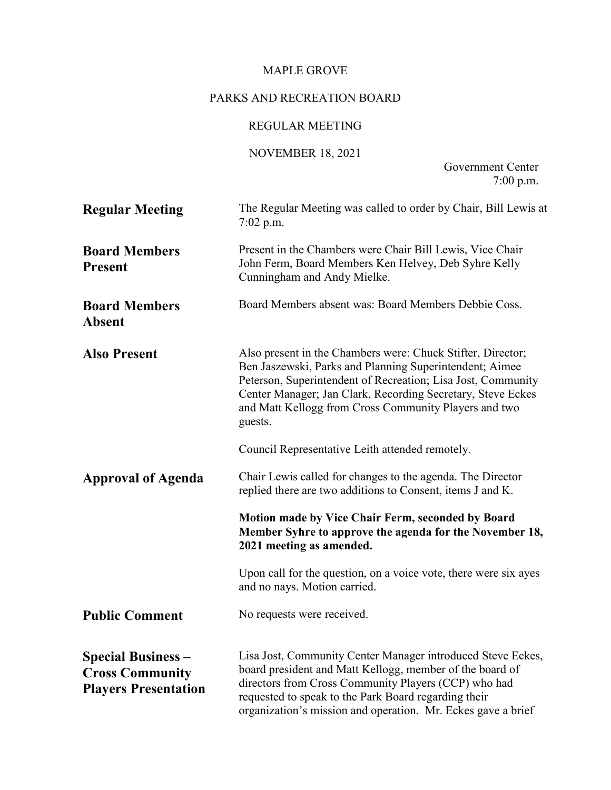## MAPLE GROVE

# PARKS AND RECREATION BOARD

# REGULAR MEETING

## NOVEMBER 18, 2021

Government Center 7:00 p.m.

| <b>Regular Meeting</b>                                                             | The Regular Meeting was called to order by Chair, Bill Lewis at<br>$7:02$ p.m.                                                                                                                                                                                                                                            |
|------------------------------------------------------------------------------------|---------------------------------------------------------------------------------------------------------------------------------------------------------------------------------------------------------------------------------------------------------------------------------------------------------------------------|
| <b>Board Members</b><br><b>Present</b>                                             | Present in the Chambers were Chair Bill Lewis, Vice Chair<br>John Ferm, Board Members Ken Helvey, Deb Syhre Kelly<br>Cunningham and Andy Mielke.                                                                                                                                                                          |
| <b>Board Members</b><br><b>Absent</b>                                              | Board Members absent was: Board Members Debbie Coss.                                                                                                                                                                                                                                                                      |
| <b>Also Present</b>                                                                | Also present in the Chambers were: Chuck Stifter, Director;<br>Ben Jaszewski, Parks and Planning Superintendent; Aimee<br>Peterson, Superintendent of Recreation; Lisa Jost, Community<br>Center Manager; Jan Clark, Recording Secretary, Steve Eckes<br>and Matt Kellogg from Cross Community Players and two<br>guests. |
|                                                                                    | Council Representative Leith attended remotely.                                                                                                                                                                                                                                                                           |
| <b>Approval of Agenda</b>                                                          | Chair Lewis called for changes to the agenda. The Director<br>replied there are two additions to Consent, items J and K.                                                                                                                                                                                                  |
|                                                                                    | Motion made by Vice Chair Ferm, seconded by Board<br>Member Syhre to approve the agenda for the November 18,<br>2021 meeting as amended.                                                                                                                                                                                  |
|                                                                                    | Upon call for the question, on a voice vote, there were six ayes<br>and no nays. Motion carried.                                                                                                                                                                                                                          |
| <b>Public Comment</b>                                                              | No requests were received.                                                                                                                                                                                                                                                                                                |
| <b>Special Business -</b><br><b>Cross Community</b><br><b>Players Presentation</b> | Lisa Jost, Community Center Manager introduced Steve Eckes,<br>board president and Matt Kellogg, member of the board of<br>directors from Cross Community Players (CCP) who had<br>requested to speak to the Park Board regarding their<br>organization's mission and operation. Mr. Eckes gave a brief                   |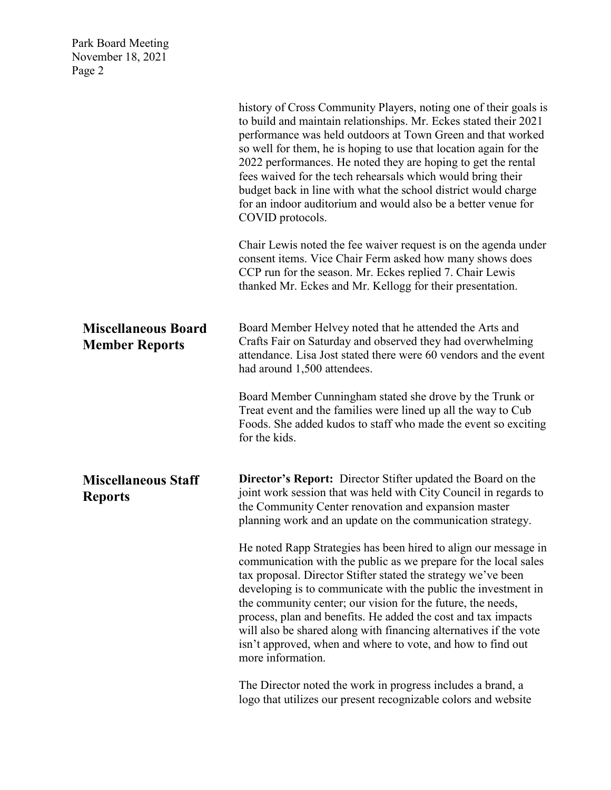|                                                     | history of Cross Community Players, noting one of their goals is<br>to build and maintain relationships. Mr. Eckes stated their 2021<br>performance was held outdoors at Town Green and that worked<br>so well for them, he is hoping to use that location again for the<br>2022 performances. He noted they are hoping to get the rental<br>fees waived for the tech rehearsals which would bring their<br>budget back in line with what the school district would charge<br>for an indoor auditorium and would also be a better venue for<br>COVID protocols. |
|-----------------------------------------------------|-----------------------------------------------------------------------------------------------------------------------------------------------------------------------------------------------------------------------------------------------------------------------------------------------------------------------------------------------------------------------------------------------------------------------------------------------------------------------------------------------------------------------------------------------------------------|
|                                                     | Chair Lewis noted the fee waiver request is on the agenda under<br>consent items. Vice Chair Ferm asked how many shows does<br>CCP run for the season. Mr. Eckes replied 7. Chair Lewis<br>thanked Mr. Eckes and Mr. Kellogg for their presentation.                                                                                                                                                                                                                                                                                                            |
| <b>Miscellaneous Board</b><br><b>Member Reports</b> | Board Member Helvey noted that he attended the Arts and<br>Crafts Fair on Saturday and observed they had overwhelming<br>attendance. Lisa Jost stated there were 60 vendors and the event<br>had around 1,500 attendees.                                                                                                                                                                                                                                                                                                                                        |
|                                                     | Board Member Cunningham stated she drove by the Trunk or<br>Treat event and the families were lined up all the way to Cub<br>Foods. She added kudos to staff who made the event so exciting<br>for the kids.                                                                                                                                                                                                                                                                                                                                                    |
| <b>Miscellaneous Staff</b><br><b>Reports</b>        | <b>Director's Report:</b> Director Stifter updated the Board on the<br>joint work session that was held with City Council in regards to<br>the Community Center renovation and expansion master<br>planning work and an update on the communication strategy.                                                                                                                                                                                                                                                                                                   |
|                                                     | He noted Rapp Strategies has been hired to align our message in<br>communication with the public as we prepare for the local sales<br>tax proposal. Director Stifter stated the strategy we've been<br>developing is to communicate with the public the investment in<br>the community center; our vision for the future, the needs,<br>process, plan and benefits. He added the cost and tax impacts<br>will also be shared along with financing alternatives if the vote<br>isn't approved, when and where to vote, and how to find out<br>more information.  |
|                                                     | The Director noted the work in progress includes a brand, a<br>logo that utilizes our present recognizable colors and website                                                                                                                                                                                                                                                                                                                                                                                                                                   |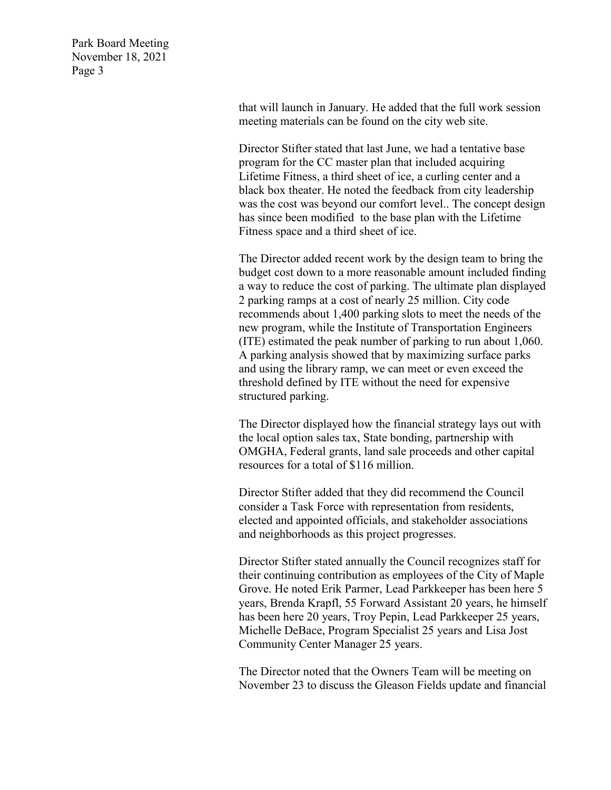> that will launch in January. He added that the full work session meeting materials can be found on the city web site.

Director Stifter stated that last June, we had a tentative base program for the CC master plan that included acquiring Lifetime Fitness, a third sheet of ice, a curling center and a black box theater. He noted the feedback from city leadership was the cost was beyond our comfort level.. The concept design has since been modified to the base plan with the Lifetime Fitness space and a third sheet of ice.

The Director added recent work by the design team to bring the budget cost down to a more reasonable amount included finding a way to reduce the cost of parking. The ultimate plan displayed 2 parking ramps at a cost of nearly 25 million. City code recommends about 1,400 parking slots to meet the needs of the new program, while the Institute of Transportation Engineers (ITE) estimated the peak number of parking to run about 1,060. A parking analysis showed that by maximizing surface parks and using the library ramp, we can meet or even exceed the threshold defined by ITE without the need for expensive structured parking.

The Director displayed how the financial strategy lays out with the local option sales tax, State bonding, partnership with OMGHA, Federal grants, land sale proceeds and other capital resources for a total of \$116 million.

Director Stifter added that they did recommend the Council consider a Task Force with representation from residents, elected and appointed officials, and stakeholder associations and neighborhoods as this project progresses.

Director Stifter stated annually the Council recognizes staff for their continuing contribution as employees of the City of Maple Grove. He noted Erik Parmer, Lead Parkkeeper has been here 5 years, Brenda Krapfl, 55 Forward Assistant 20 years, he himself has been here 20 years, Troy Pepin, Lead Parkkeeper 25 years, Michelle DeBace, Program Specialist 25 years and Lisa Jost Community Center Manager 25 years.

The Director noted that the Owners Team will be meeting on November 23 to discuss the Gleason Fields update and financial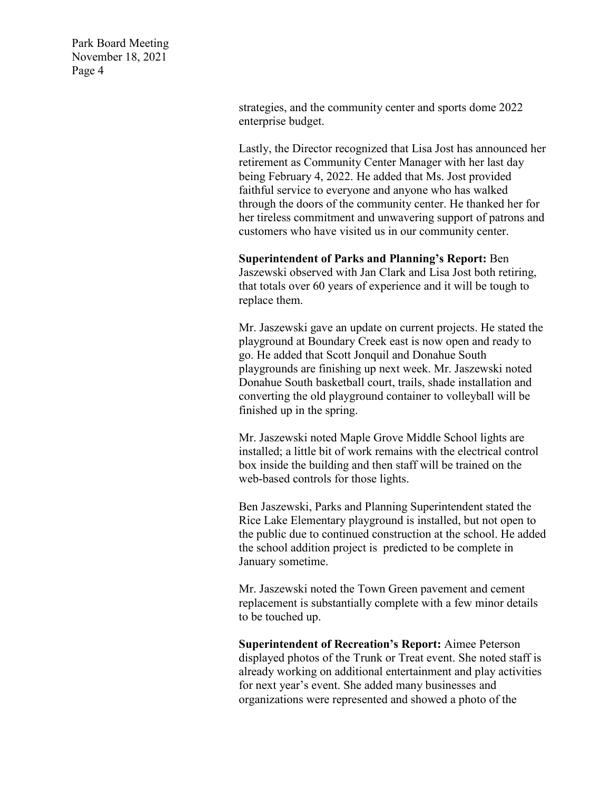> strategies, and the community center and sports dome 2022 enterprise budget.

Lastly, the Director recognized that Lisa Jost has announced her retirement as Community Center Manager with her last day being February 4, 2022. He added that Ms. Jost provided faithful service to everyone and anyone who has walked through the doors of the community center. He thanked her for her tireless commitment and unwavering support of patrons and customers who have visited us in our community center.

#### **Superintendent of Parks and Planning's Report:** Ben

Jaszewski observed with Jan Clark and Lisa Jost both retiring, that totals over 60 years of experience and it will be tough to replace them.

Mr. Jaszewski gave an update on current projects. He stated the playground at Boundary Creek east is now open and ready to go. He added that Scott Jonquil and Donahue South playgrounds are finishing up next week. Mr. Jaszewski noted Donahue South basketball court, trails, shade installation and converting the old playground container to volleyball will be finished up in the spring.

Mr. Jaszewski noted Maple Grove Middle School lights are installed; a little bit of work remains with the electrical control box inside the building and then staff will be trained on the web-based controls for those lights.

Ben Jaszewski, Parks and Planning Superintendent stated the Rice Lake Elementary playground is installed, but not open to the public due to continued construction at the school. He added the school addition project is predicted to be complete in January sometime.

Mr. Jaszewski noted the Town Green pavement and cement replacement is substantially complete with a few minor details to be touched up.

**Superintendent of Recreation's Report:** Aimee Peterson displayed photos of the Trunk or Treat event. She noted staff is already working on additional entertainment and play activities for next year's event. She added many businesses and organizations were represented and showed a photo of the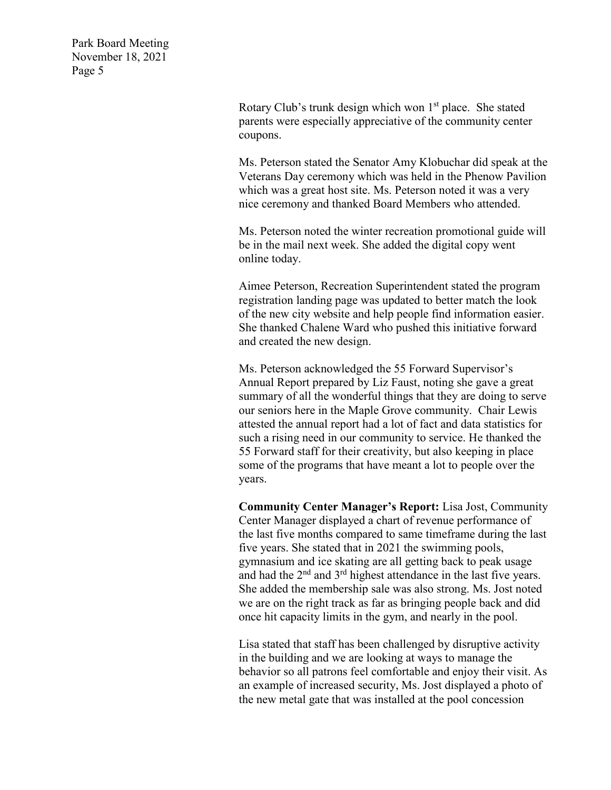> Rotary Club's trunk design which won  $1<sup>st</sup>$  place. She stated parents were especially appreciative of the community center coupons.

Ms. Peterson stated the Senator Amy Klobuchar did speak at the Veterans Day ceremony which was held in the Phenow Pavilion which was a great host site. Ms. Peterson noted it was a very nice ceremony and thanked Board Members who attended.

Ms. Peterson noted the winter recreation promotional guide will be in the mail next week. She added the digital copy went online today.

Aimee Peterson, Recreation Superintendent stated the program registration landing page was updated to better match the look of the new city website and help people find information easier. She thanked Chalene Ward who pushed this initiative forward and created the new design.

Ms. Peterson acknowledged the 55 Forward Supervisor's Annual Report prepared by Liz Faust, noting she gave a great summary of all the wonderful things that they are doing to serve our seniors here in the Maple Grove community. Chair Lewis attested the annual report had a lot of fact and data statistics for such a rising need in our community to service. He thanked the 55 Forward staff for their creativity, but also keeping in place some of the programs that have meant a lot to people over the years.

**Community Center Manager's Report:** Lisa Jost, Community Center Manager displayed a chart of revenue performance of the last five months compared to same timeframe during the last five years. She stated that in 2021 the swimming pools, gymnasium and ice skating are all getting back to peak usage and had the 2nd and 3rd highest attendance in the last five years. She added the membership sale was also strong. Ms. Jost noted we are on the right track as far as bringing people back and did once hit capacity limits in the gym, and nearly in the pool.

Lisa stated that staff has been challenged by disruptive activity in the building and we are looking at ways to manage the behavior so all patrons feel comfortable and enjoy their visit. As an example of increased security, Ms. Jost displayed a photo of the new metal gate that was installed at the pool concession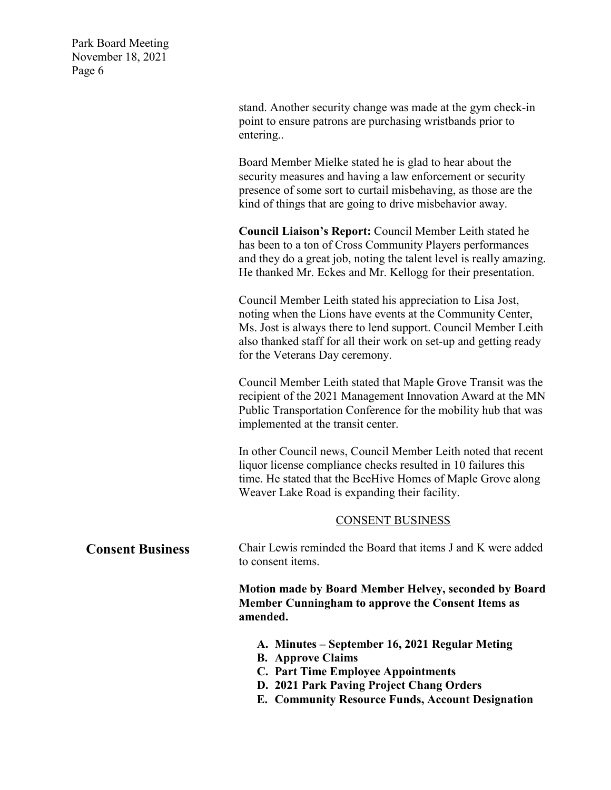> stand. Another security change was made at the gym check-in point to ensure patrons are purchasing wristbands prior to entering..

> Board Member Mielke stated he is glad to hear about the security measures and having a law enforcement or security presence of some sort to curtail misbehaving, as those are the kind of things that are going to drive misbehavior away.

**Council Liaison's Report:** Council Member Leith stated he has been to a ton of Cross Community Players performances and they do a great job, noting the talent level is really amazing. He thanked Mr. Eckes and Mr. Kellogg for their presentation.

Council Member Leith stated his appreciation to Lisa Jost, noting when the Lions have events at the Community Center, Ms. Jost is always there to lend support. Council Member Leith also thanked staff for all their work on set-up and getting ready for the Veterans Day ceremony.

Council Member Leith stated that Maple Grove Transit was the recipient of the 2021 Management Innovation Award at the MN Public Transportation Conference for the mobility hub that was implemented at the transit center.

In other Council news, Council Member Leith noted that recent liquor license compliance checks resulted in 10 failures this time. He stated that the BeeHive Homes of Maple Grove along Weaver Lake Road is expanding their facility.

#### CONSENT BUSINESS

**Consent Business** Chair Lewis reminded the Board that items J and K were added to consent items.

> **Motion made by Board Member Helvey, seconded by Board Member Cunningham to approve the Consent Items as amended.**

- **A. Minutes – September 16, 2021 Regular Meting**
- **B. Approve Claims**
- **C. Part Time Employee Appointments**
- **D. 2021 Park Paving Project Chang Orders**
- **E. Community Resource Funds, Account Designation**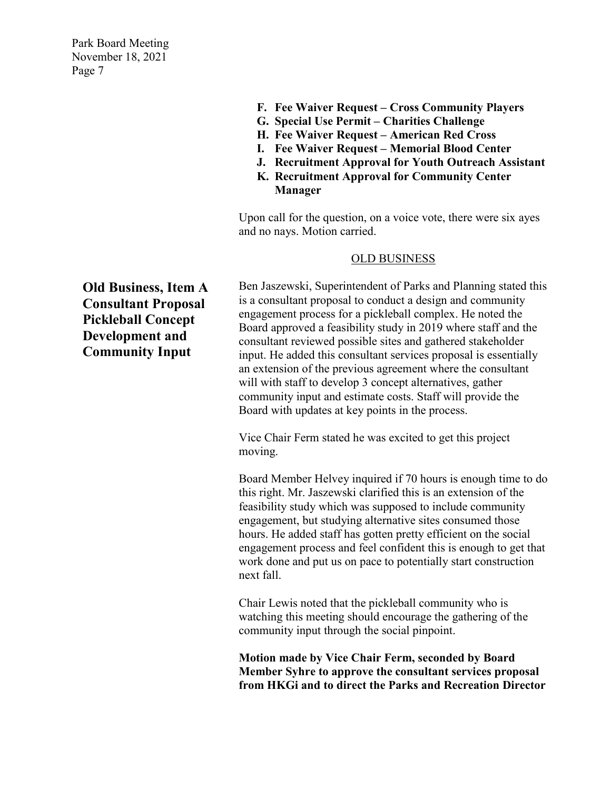- **F. Fee Waiver Request – Cross Community Players**
- **G. Special Use Permit – Charities Challenge**
- **H. Fee Waiver Request – American Red Cross**
- **I. Fee Waiver Request – Memorial Blood Center**
- **J. Recruitment Approval for Youth Outreach Assistant**
- **K. Recruitment Approval for Community Center Manager**

Upon call for the question, on a voice vote, there were six ayes and no nays. Motion carried.

#### OLD BUSINESS

Ben Jaszewski, Superintendent of Parks and Planning stated this is a consultant proposal to conduct a design and community engagement process for a pickleball complex. He noted the Board approved a feasibility study in 2019 where staff and the consultant reviewed possible sites and gathered stakeholder input. He added this consultant services proposal is essentially an extension of the previous agreement where the consultant will with staff to develop 3 concept alternatives, gather community input and estimate costs. Staff will provide the Board with updates at key points in the process.

Vice Chair Ferm stated he was excited to get this project moving.

Board Member Helvey inquired if 70 hours is enough time to do this right. Mr. Jaszewski clarified this is an extension of the feasibility study which was supposed to include community engagement, but studying alternative sites consumed those hours. He added staff has gotten pretty efficient on the social engagement process and feel confident this is enough to get that work done and put us on pace to potentially start construction next fall.

Chair Lewis noted that the pickleball community who is watching this meeting should encourage the gathering of the community input through the social pinpoint.

**Motion made by Vice Chair Ferm, seconded by Board Member Syhre to approve the consultant services proposal from HKGi and to direct the Parks and Recreation Director** 

**Old Business, Item A Consultant Proposal Pickleball Concept Development and Community Input**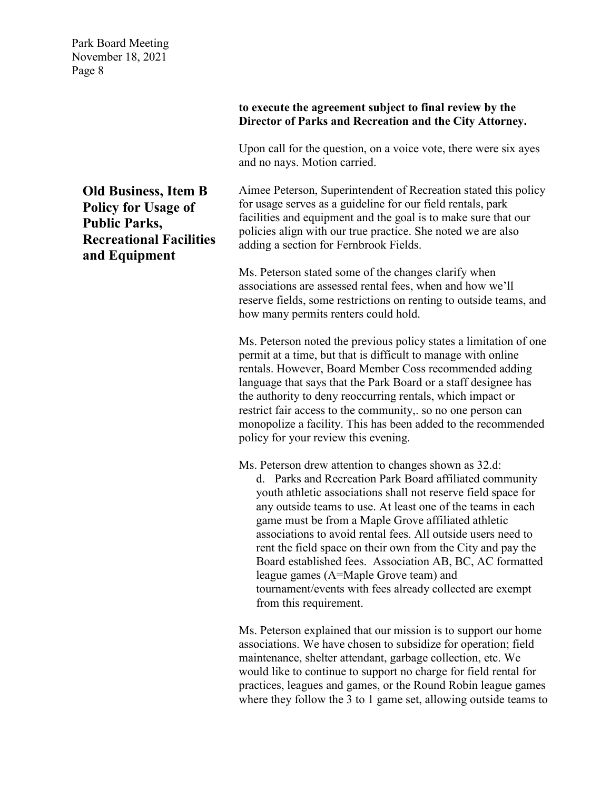#### **to execute the agreement subject to final review by the Director of Parks and Recreation and the City Attorney.**

Upon call for the question, on a voice vote, there were six ayes and no nays. Motion carried.

Aimee Peterson, Superintendent of Recreation stated this policy for usage serves as a guideline for our field rentals, park facilities and equipment and the goal is to make sure that our policies align with our true practice. She noted we are also adding a section for Fernbrook Fields.

Ms. Peterson stated some of the changes clarify when associations are assessed rental fees, when and how we'll reserve fields, some restrictions on renting to outside teams, and how many permits renters could hold.

Ms. Peterson noted the previous policy states a limitation of one permit at a time, but that is difficult to manage with online rentals. However, Board Member Coss recommended adding language that says that the Park Board or a staff designee has the authority to deny reoccurring rentals, which impact or restrict fair access to the community,. so no one person can monopolize a facility. This has been added to the recommended policy for your review this evening.

Ms. Peterson drew attention to changes shown as 32.d: d. Parks and Recreation Park Board affiliated community youth athletic associations shall not reserve field space for any outside teams to use. At least one of the teams in each game must be from a Maple Grove affiliated athletic associations to avoid rental fees. All outside users need to rent the field space on their own from the City and pay the Board established fees. Association AB, BC, AC formatted league games (A=Maple Grove team) and tournament/events with fees already collected are exempt from this requirement.

Ms. Peterson explained that our mission is to support our home associations. We have chosen to subsidize for operation; field maintenance, shelter attendant, garbage collection, etc. We would like to continue to support no charge for field rental for practices, leagues and games, or the Round Robin league games where they follow the 3 to 1 game set, allowing outside teams to

**Old Business, Item B Policy for Usage of Public Parks, Recreational Facilities and Equipment**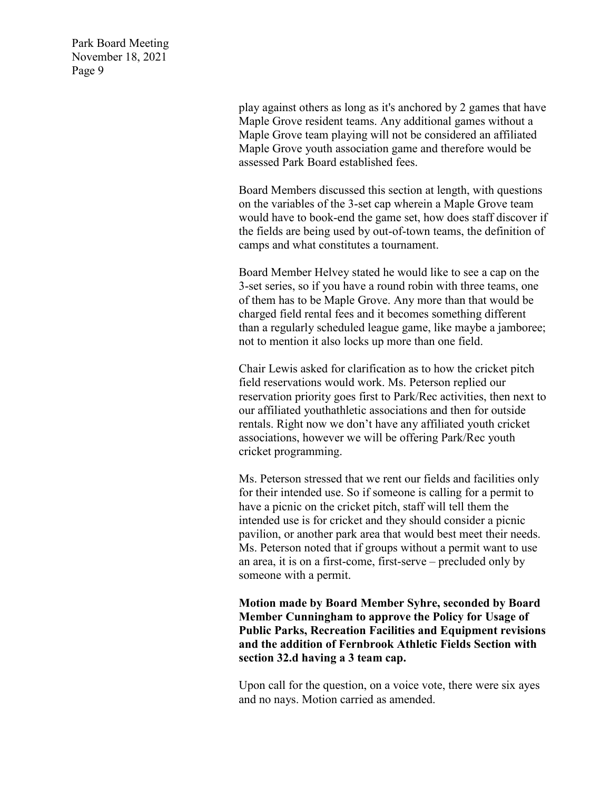> play against others as long as it's anchored by 2 games that have Maple Grove resident teams. Any additional games without a Maple Grove team playing will not be considered an affiliated Maple Grove youth association game and therefore would be assessed Park Board established fees.

> Board Members discussed this section at length, with questions on the variables of the 3-set cap wherein a Maple Grove team would have to book-end the game set, how does staff discover if the fields are being used by out-of-town teams, the definition of camps and what constitutes a tournament.

> Board Member Helvey stated he would like to see a cap on the 3-set series, so if you have a round robin with three teams, one of them has to be Maple Grove. Any more than that would be charged field rental fees and it becomes something different than a regularly scheduled league game, like maybe a jamboree; not to mention it also locks up more than one field.

> Chair Lewis asked for clarification as to how the cricket pitch field reservations would work. Ms. Peterson replied our reservation priority goes first to Park/Rec activities, then next to our affiliated youthathletic associations and then for outside rentals. Right now we don't have any affiliated youth cricket associations, however we will be offering Park/Rec youth cricket programming.

Ms. Peterson stressed that we rent our fields and facilities only for their intended use. So if someone is calling for a permit to have a picnic on the cricket pitch, staff will tell them the intended use is for cricket and they should consider a picnic pavilion, or another park area that would best meet their needs. Ms. Peterson noted that if groups without a permit want to use an area, it is on a first-come, first-serve – precluded only by someone with a permit.

**Motion made by Board Member Syhre, seconded by Board Member Cunningham to approve the Policy for Usage of Public Parks, Recreation Facilities and Equipment revisions and the addition of Fernbrook Athletic Fields Section with section 32.d having a 3 team cap.**

Upon call for the question, on a voice vote, there were six ayes and no nays. Motion carried as amended.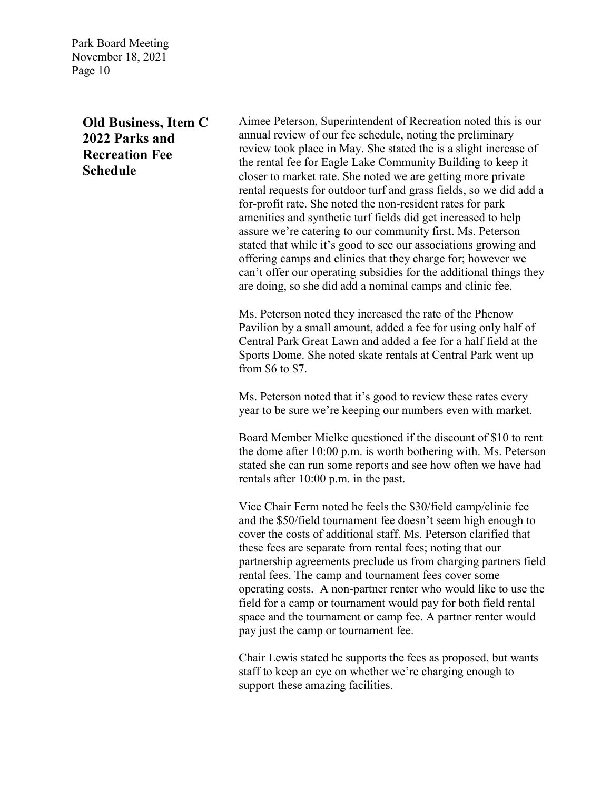# **Old Business, Item C 2022 Parks and Recreation Fee Schedule**

Aimee Peterson, Superintendent of Recreation noted this is our annual review of our fee schedule, noting the preliminary review took place in May. She stated the is a slight increase of the rental fee for Eagle Lake Community Building to keep it closer to market rate. She noted we are getting more private rental requests for outdoor turf and grass fields, so we did add a for-profit rate. She noted the non-resident rates for park amenities and synthetic turf fields did get increased to help assure we're catering to our community first. Ms. Peterson stated that while it's good to see our associations growing and offering camps and clinics that they charge for; however we can't offer our operating subsidies for the additional things they are doing, so she did add a nominal camps and clinic fee.

Ms. Peterson noted they increased the rate of the Phenow Pavilion by a small amount, added a fee for using only half of Central Park Great Lawn and added a fee for a half field at the Sports Dome. She noted skate rentals at Central Park went up from \$6 to \$7.

Ms. Peterson noted that it's good to review these rates every year to be sure we're keeping our numbers even with market.

Board Member Mielke questioned if the discount of \$10 to rent the dome after 10:00 p.m. is worth bothering with. Ms. Peterson stated she can run some reports and see how often we have had rentals after 10:00 p.m. in the past.

Vice Chair Ferm noted he feels the \$30/field camp/clinic fee and the \$50/field tournament fee doesn't seem high enough to cover the costs of additional staff. Ms. Peterson clarified that these fees are separate from rental fees; noting that our partnership agreements preclude us from charging partners field rental fees. The camp and tournament fees cover some operating costs. A non-partner renter who would like to use the field for a camp or tournament would pay for both field rental space and the tournament or camp fee. A partner renter would pay just the camp or tournament fee.

Chair Lewis stated he supports the fees as proposed, but wants staff to keep an eye on whether we're charging enough to support these amazing facilities.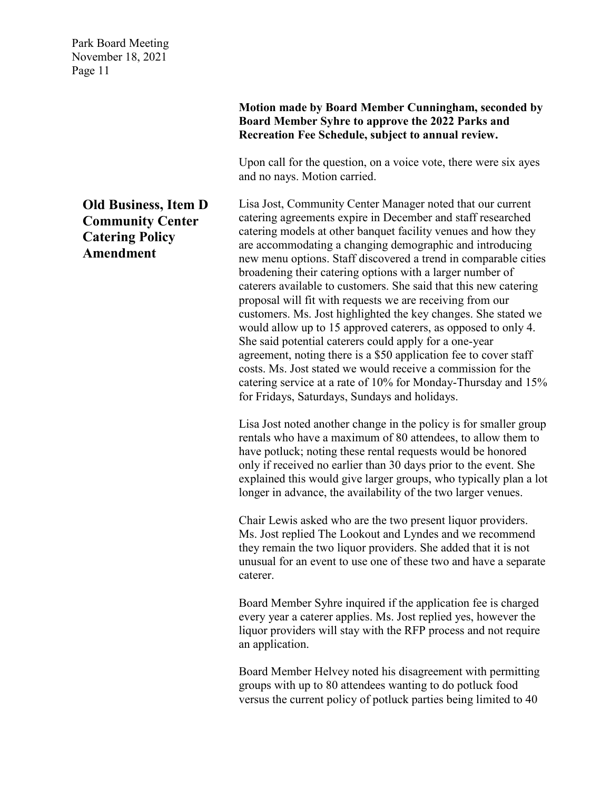# **Old Business, Item D Community Center Catering Policy Amendment**

**Motion made by Board Member Cunningham, seconded by Board Member Syhre to approve the 2022 Parks and Recreation Fee Schedule, subject to annual review.**

Upon call for the question, on a voice vote, there were six ayes and no nays. Motion carried.

Lisa Jost, Community Center Manager noted that our current catering agreements expire in December and staff researched catering models at other banquet facility venues and how they are accommodating a changing demographic and introducing new menu options. Staff discovered a trend in comparable cities broadening their catering options with a larger number of caterers available to customers. She said that this new catering proposal will fit with requests we are receiving from our customers. Ms. Jost highlighted the key changes. She stated we would allow up to 15 approved caterers, as opposed to only 4. She said potential caterers could apply for a one-year agreement, noting there is a \$50 application fee to cover staff costs. Ms. Jost stated we would receive a commission for the catering service at a rate of 10% for Monday-Thursday and 15% for Fridays, Saturdays, Sundays and holidays.

Lisa Jost noted another change in the policy is for smaller group rentals who have a maximum of 80 attendees, to allow them to have potluck; noting these rental requests would be honored only if received no earlier than 30 days prior to the event. She explained this would give larger groups, who typically plan a lot longer in advance, the availability of the two larger venues.

Chair Lewis asked who are the two present liquor providers. Ms. Jost replied The Lookout and Lyndes and we recommend they remain the two liquor providers. She added that it is not unusual for an event to use one of these two and have a separate caterer.

Board Member Syhre inquired if the application fee is charged every year a caterer applies. Ms. Jost replied yes, however the liquor providers will stay with the RFP process and not require an application.

Board Member Helvey noted his disagreement with permitting groups with up to 80 attendees wanting to do potluck food versus the current policy of potluck parties being limited to 40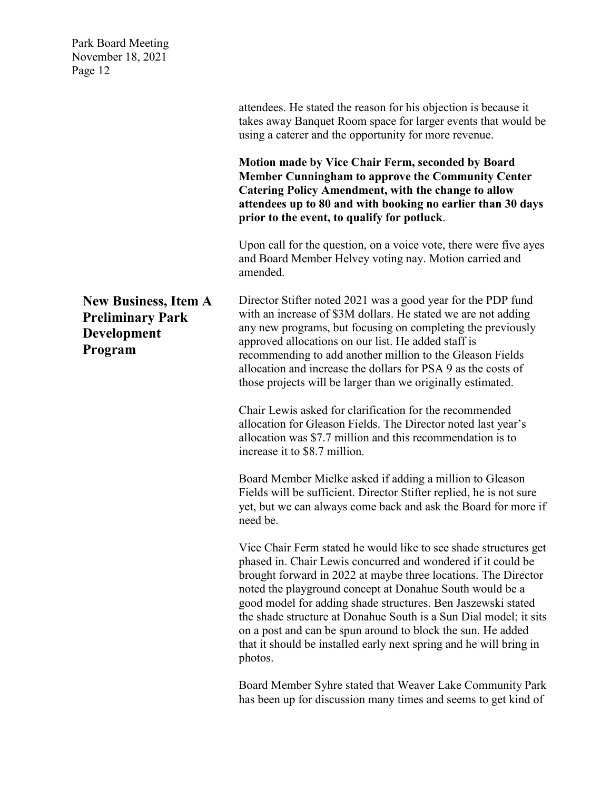|                                                                                         | attendees. He stated the reason for his objection is because it<br>takes away Banquet Room space for larger events that would be<br>using a caterer and the opportunity for more revenue.                                                                                                                                                                                                                                                                                                                                                           |
|-----------------------------------------------------------------------------------------|-----------------------------------------------------------------------------------------------------------------------------------------------------------------------------------------------------------------------------------------------------------------------------------------------------------------------------------------------------------------------------------------------------------------------------------------------------------------------------------------------------------------------------------------------------|
|                                                                                         | Motion made by Vice Chair Ferm, seconded by Board<br><b>Member Cunningham to approve the Community Center</b><br><b>Catering Policy Amendment, with the change to allow</b><br>attendees up to 80 and with booking no earlier than 30 days<br>prior to the event, to qualify for potluck.                                                                                                                                                                                                                                                           |
|                                                                                         | Upon call for the question, on a voice vote, there were five ayes<br>and Board Member Helvey voting nay. Motion carried and<br>amended.                                                                                                                                                                                                                                                                                                                                                                                                             |
| <b>New Business, Item A</b><br><b>Preliminary Park</b><br><b>Development</b><br>Program | Director Stifter noted 2021 was a good year for the PDP fund<br>with an increase of \$3M dollars. He stated we are not adding<br>any new programs, but focusing on completing the previously<br>approved allocations on our list. He added staff is<br>recommending to add another million to the Gleason Fields<br>allocation and increase the dollars for PSA 9 as the costs of<br>those projects will be larger than we originally estimated.                                                                                                    |
|                                                                                         | Chair Lewis asked for clarification for the recommended<br>allocation for Gleason Fields. The Director noted last year's<br>allocation was \$7.7 million and this recommendation is to<br>increase it to \$8.7 million.                                                                                                                                                                                                                                                                                                                             |
|                                                                                         | Board Member Mielke asked if adding a million to Gleason<br>Fields will be sufficient. Director Stifter replied, he is not sure<br>yet, but we can always come back and ask the Board for more if<br>need be.                                                                                                                                                                                                                                                                                                                                       |
|                                                                                         | Vice Chair Ferm stated he would like to see shade structures get<br>phased in. Chair Lewis concurred and wondered if it could be<br>brought forward in 2022 at maybe three locations. The Director<br>noted the playground concept at Donahue South would be a<br>good model for adding shade structures. Ben Jaszewski stated<br>the shade structure at Donahue South is a Sun Dial model; it sits<br>on a post and can be spun around to block the sun. He added<br>that it should be installed early next spring and he will bring in<br>photos. |

Board Member Syhre stated that Weaver Lake Community Park has been up for discussion many times and seems to get kind of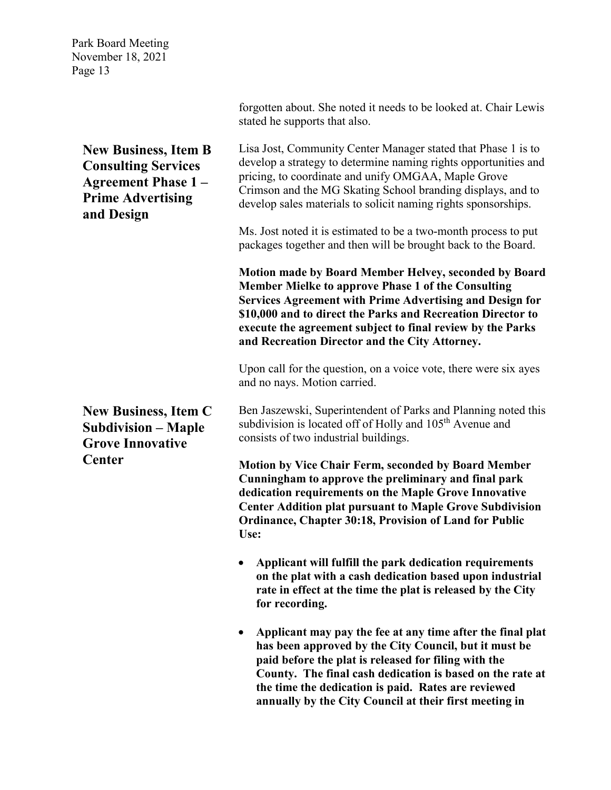> **New Business, Item B Consulting Services Agreement Phase 1 – Prime Advertising and Design**

Lisa Jost, Community Center Manager stated that Phase 1 is to develop a strategy to determine naming rights opportunities and pricing, to coordinate and unify OMGAA, Maple Grove Crimson and the MG Skating School branding displays, and to

forgotten about. She noted it needs to be looked at. Chair Lewis

stated he supports that also.

develop sales materials to solicit naming rights sponsorships.

Ms. Jost noted it is estimated to be a two-month process to put packages together and then will be brought back to the Board.

**Motion made by Board Member Helvey, seconded by Board Member Mielke to approve Phase 1 of the Consulting Services Agreement with Prime Advertising and Design for \$10,000 and to direct the Parks and Recreation Director to execute the agreement subject to final review by the Parks and Recreation Director and the City Attorney.**

Upon call for the question, on a voice vote, there were six ayes and no nays. Motion carried.

Ben Jaszewski, Superintendent of Parks and Planning noted this subdivision is located off of Holly and 105<sup>th</sup> Avenue and consists of two industrial buildings.

**Motion by Vice Chair Ferm, seconded by Board Member Cunningham to approve the preliminary and final park dedication requirements on the Maple Grove Innovative Center Addition plat pursuant to Maple Grove Subdivision Ordinance, Chapter 30:18, Provision of Land for Public Use:** 

- **Applicant will fulfill the park dedication requirements on the plat with a cash dedication based upon industrial rate in effect at the time the plat is released by the City for recording.**
- **Applicant may pay the fee at any time after the final plat has been approved by the City Council, but it must be paid before the plat is released for filing with the County. The final cash dedication is based on the rate at the time the dedication is paid. Rates are reviewed annually by the City Council at their first meeting in**

**New Business, Item C Subdivision – Maple Grove Innovative Center**